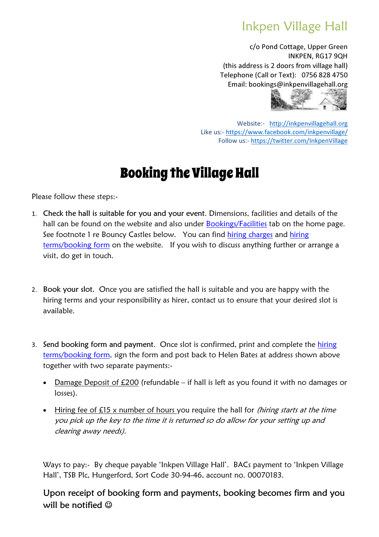## Inkpen Village Hall

c/o Pond Cottage, Upper Green INKPEN, RG17 9QH (this address is 2 doors from village hall) Telephone (Call or Text): 0756 828 4750 Email: bookings@inkpenvillagehall.org



Website:- http://inkpenvillagehall.org Like us:- https://www.facebook.com/inkpenvillage/ Follow us:- https://twitter.com/InkpenVillage

## Booking the Village Hall

Please follow these steps:-

- 1. Check the hall is suitable for you and your event. Dimensions, facilities and details of the hall can be found on the website and also under Bookings/Facilities tab on the home page. See footnote 1 re Bouncy Castles below. You can find hiring charges and hiring terms/booking form on the website. If you wish to discuss anything further or arrange a visit, do get in touch.
- 2. Book your slot. Once you are satisfied the hall is suitable and you are happy with the hiring terms and your responsibility as hirer, contact us to ensure that your desired slot is available.
- 3. Send booking form and payment. Once slot is confirmed, print and complete the hiring terms/booking form, sign the form and post back to Helen Bates at address shown above together with two separate payments:-
	- Damage Deposit of £200 (refundable if hall is left as you found it with no damages or losses).
	- Hiring fee of £15 x number of hours you require the hall for *(hiring starts at the time* you pick up the key to the time it is returned so do allow for your setting up and clearing away needs).

Ways to pay:- By cheque payable 'Inkpen Village Hall'. BACs payment to 'Inkpen Village Hall', TSB Plc, Hungerford, Sort Code 30-94-46, account no. 00070183.

Upon receipt of booking form and payments, booking becomes firm and you will be notified  $\odot$